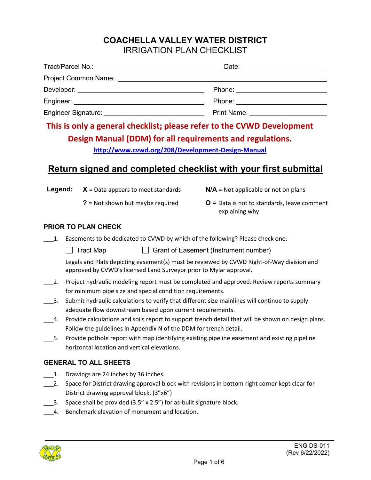### **COACHELLA VALLEY WATER DISTRICT** IRRIGATION PLAN CHECKLIST

|                                                                                                                | Date: _________________________         |
|----------------------------------------------------------------------------------------------------------------|-----------------------------------------|
| Project Common Name:. Name and the manufacturer of the manufacturer of the manufacturer of the manufacturer of |                                         |
|                                                                                                                | Phone: <u>_________________</u>         |
|                                                                                                                | Phone: <u>___________________</u>       |
|                                                                                                                | Print Name: <u>____________________</u> |

# **This is only a general checklist; please refer to the CVWD Development Design Manual (DDM) for all requirements and regulations.**

**<http://www.cvwd.org/208/Development-Design-Manual>**

## **Return signed and completed checklist with your first submittal**

**Legend:**  $X = Data$  appears to meet standards  $N/A = Not$  applicable or not on plans**?** = Not shown but maybe required **O** = Data is not to standards, leave comment

#### **PRIOR TO PLAN CHECK**

- \_\_\_1. Easements to be dedicated to CVWD by which of the following? Please check one:
	- Tract Map Grant of Easement (Instrument number)

Legals and Plats depicting easement(s) must be reviewed by CVWD Right-of-Way division and approved by CVWD's licensed Land Surveyor prior to Mylar approval.

explaining why

- 2. Project hydraulic modeling report must be completed and approved. Review reports summary for minimum pipe size and special condition requirements.
- \_\_\_3. Submit hydraulic calculations to verify that different size mainlines will continue to supply adequate flow downstream based upon current requirements.
- \_\_\_4. Provide calculations and soils report to support trench detail that will be shown on design plans. Follow the guidelines in Appendix N of the DDM for trench detail.
- \_\_\_5. Provide pothole report with map identifying existing pipeline easement and existing pipeline horizontal location and vertical elevations.

#### **GENERAL TO ALL SHEETS**

- \_\_\_1. Drawings are 24 inches by 36 inches.
- \_\_\_2. Space for District drawing approval block with revisions in bottom right corner kept clear for District drawing approval block. (3"x6")
- \_\_\_3. Space shall be provided (3.5" x 2.5") for as-built signature block.
- 4. Benchmark elevation of monument and location.

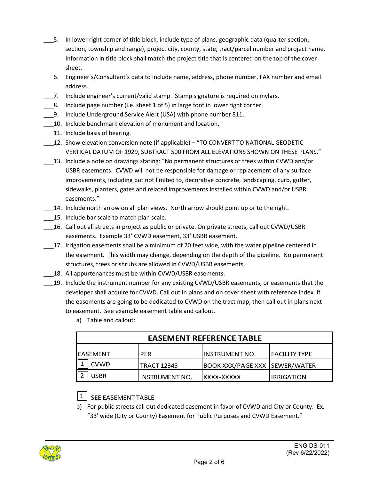- \_\_\_5. In lower right corner of title block, include type of plans, geographic data (quarter section, section, township and range), project city, county, state, tract/parcel number and project name. Information in title block shall match the project title that is centered on the top of the cover sheet.
- \_\_\_6. Engineer's/Consultant's data to include name, address, phone number, FAX number and email address.
- \_\_\_7. Include engineer's current/valid stamp. Stamp signature is required on mylars.
- $\Box$ 8. Include page number (i.e. sheet 1 of 5) in large font in lower right corner.
- 9. Include Underground Service Alert (USA) with phone number 811.
- 10. Include benchmark elevation of monument and location.
- 11. Include basis of bearing.
- \_\_\_12. Show elevation conversion note (if applicable) "TO CONVERT TO NATIONAL GEODETIC VERTICAL DATUM OF 1929, SUBTRACT 500 FROM ALL ELEVATIONS SHOWN ON THESE PLANS."
- \_\_\_13. Include a note on drawings stating: "No permanent structures or trees within CVWD and/or USBR easements. CVWD will not be responsible for damage or replacement of any surface improvements, including but not limited to, decorative concrete, landscaping, curb, gutter, sidewalks, planters, gates and related improvements installed within CVWD and/or USBR easements."
- \_\_\_14. Include north arrow on all plan views. North arrow should point up or to the right.
- 15. Include bar scale to match plan scale.
- \_\_\_16. Call out all streets in project as public or private. On private streets, call out CVWD/USBR easements. Example 33' CVWD easement, 33' USBR easement.
- \_\_\_17. Irrigation easements shall be a minimum of 20 feet wide, with the water pipeline centered in the easement. This width may change, depending on the depth of the pipeline. No permanent structures, trees or shrubs are allowed in CVWD/USBR easements.
- 18. All appurtenances must be within CVWD/USBR easements.
- \_\_\_19. Include the instrument number for any existing CVWD/USBR easements, or easements that the developer shall acquire for CVWD. Call out in plans and on cover sheet with reference index. If the easements are going to be dedicated to CVWD on the tract map, then call out in plans next to easement. See example easement table and callout.
	- a) Table and callout:

| <b>EASEMENT REFERENCE TABLE</b> |                       |                                      |                |
|---------------------------------|-----------------------|--------------------------------------|----------------|
| IEASEMENT                       | <b>PER</b>            | IINSTRUMENT NO.                      | IFACILITY TYPE |
| <b>CVWD</b>                     | <b>TRACT 12345</b>    | <b>BOOK XXX/PAGE XXX SEWER/WATER</b> |                |
| <b>USBR</b>                     | <b>INSTRUMENT NO.</b> | IXXXX-XXXXX                          | IIRRIGATION    |

# $\boxed{1}$  SEE EASEMENT TABLE

b) For public streets call out dedicated easement in favor of CVWD and City or County. Ex. "33' wide (City or County) Easement for Public Purposes and CVWD Easement."

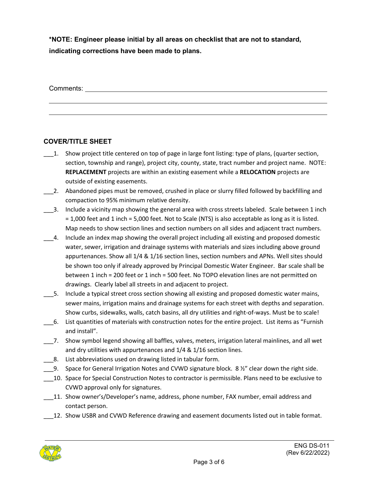**\*NOTE: Engineer please initial by all areas on checklist that are not to standard, indicating corrections have been made to plans.**

Comments:

#### **COVER/TITLE SHEET**

- \_\_\_1. Show project title centered on top of page in large font listing: type of plans, (quarter section, section, township and range), project city, county, state, tract number and project name. NOTE: **REPLACEMENT** projects are within an existing easement while a **RELOCATION** projects are outside of existing easements.
- \_\_\_2. Abandoned pipes must be removed, crushed in place or slurry filled followed by backfilling and compaction to 95% minimum relative density.
- \_\_\_3. Include a vicinity map showing the general area with cross streets labeled. Scale between 1 inch = 1,000 feet and 1 inch = 5,000 feet. Not to Scale (NTS) is also acceptable as long as it is listed. Map needs to show section lines and section numbers on all sides and adjacent tract numbers.
- \_\_\_4. Include an index map showing the overall project including all existing and proposed domestic water, sewer, irrigation and drainage systems with materials and sizes including above ground appurtenances. Show all 1/4 & 1/16 section lines, section numbers and APNs. Well sites should be shown too only if already approved by Principal Domestic Water Engineer. Bar scale shall be between 1 inch = 200 feet or 1 inch = 500 feet. No TOPO elevation lines are not permitted on drawings. Clearly label all streets in and adjacent to project.
- \_\_\_5. Include a typical street cross section showing all existing and proposed domestic water mains, sewer mains, irrigation mains and drainage systems for each street with depths and separation. Show curbs, sidewalks, walls, catch basins, all dry utilities and right-of-ways. Must be to scale!
- \_\_\_6. List quantities of materials with construction notes for the entire project. List items as "Furnish and install".
- \_\_\_7. Show symbol legend showing all baffles, valves, meters, irrigation lateral mainlines, and all wet and dry utilities with appurtenances and 1/4 & 1/16 section lines.
- \_\_\_8. List abbreviations used on drawing listed in tabular form.
- 9. Space for General Irrigation Notes and CVWD signature block. 8  $\frac{1}{2}$ " clear down the right side.
- \_\_\_10. Space for Special Construction Notes to contractor is permissible. Plans need to be exclusive to CVWD approval only for signatures.
- \_\_\_11. Show owner's/Developer's name, address, phone number, FAX number, email address and contact person.
- \_\_\_12. Show USBR and CVWD Reference drawing and easement documents listed out in table format.

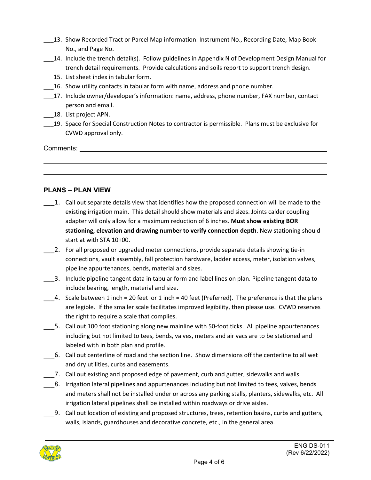- 13. Show Recorded Tract or Parcel Map information: Instrument No., Recording Date, Map Book No., and Page No.
- \_\_\_14. Include the trench detail(s). Follow guidelines in Appendix N of Development Design Manual for trench detail requirements. Provide calculations and soils report to support trench design.
- 15. List sheet index in tabular form.
- \_\_\_16. Show utility contacts in tabular form with name, address and phone number.
- \_\_\_17. Include owner/developer's information: name, address, phone number, FAX number, contact person and email.
- \_\_\_18. List project APN.
- \_\_\_19. Space for Special Construction Notes to contractor is permissible. Plans must be exclusive for CVWD approval only.

Comments: \_\_\_\_\_\_\_\_

#### **PLANS – PLAN VIEW**

- \_\_\_1. Call out separate details view that identifies how the proposed connection will be made to the existing irrigation main. This detail should show materials and sizes. Joints calder coupling adapter will only allow for a maximum reduction of 6 inches. **Must show existing BOR stationing, elevation and drawing number to verify connection depth**. New stationing should start at with STA 10+00.
- 2. For all proposed or upgraded meter connections, provide separate details showing tie-in connections, vault assembly, fall protection hardware, ladder access, meter, isolation valves, pipeline appurtenances, bends, material and sizes.
- \_\_\_3. Include pipeline tangent data in tabular form and label lines on plan. Pipeline tangent data to include bearing, length, material and size.
- \_\_\_4. Scale between 1 inch = 20 feet or 1 inch = 40 feet (Preferred). The preference is that the plans are legible. If the smaller scale facilitates improved legibility, then please use. CVWD reserves the right to require a scale that complies.
- 5. Call out 100 foot stationing along new mainline with 50-foot ticks. All pipeline appurtenances including but not limited to tees, bends, valves, meters and air vacs are to be stationed and labeled with in both plan and profile.
- \_\_\_6. Call out centerline of road and the section line. Show dimensions off the centerline to all wet and dry utilities, curbs and easements.
- \_\_\_7. Call out existing and proposed edge of pavement, curb and gutter, sidewalks and walls.
- \_\_\_8. Irrigation lateral pipelines and appurtenances including but not limited to tees, valves, bends and meters shall not be installed under or across any parking stalls, planters, sidewalks, etc. All irrigation lateral pipelines shall be installed within roadways or drive aisles.
- \_\_\_9. Call out location of existing and proposed structures, trees, retention basins, curbs and gutters, walls, islands, guardhouses and decorative concrete, etc., in the general area.

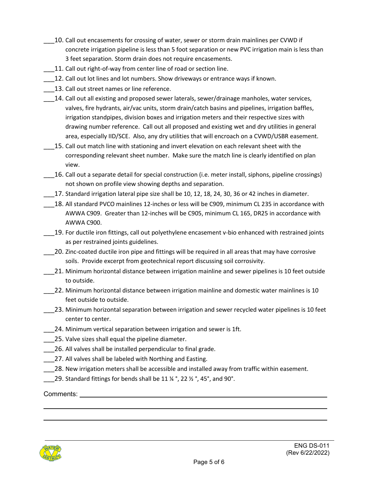- 10. Call out encasements for crossing of water, sewer or storm drain mainlines per CVWD if concrete irrigation pipeline is less than 5 foot separation or new PVC irrigation main is less than 3 feet separation. Storm drain does not require encasements.
- 11. Call out right-of-way from center line of road or section line.
- 12. Call out lot lines and lot numbers. Show driveways or entrance ways if known.
- 13. Call out street names or line reference.
- \_\_\_14. Call out all existing and proposed sewer laterals, sewer/drainage manholes, water services, valves, fire hydrants, air/vac units, storm drain/catch basins and pipelines, irrigation baffles, irrigation standpipes, division boxes and irrigation meters and their respective sizes with drawing number reference. Call out all proposed and existing wet and dry utilities in general area, especially IID/SCE. Also, any dry utilities that will encroach on a CVWD/USBR easement.
- 15. Call out match line with stationing and invert elevation on each relevant sheet with the corresponding relevant sheet number. Make sure the match line is clearly identified on plan view.
- 16. Call out a separate detail for special construction (i.e. meter install, siphons, pipeline crossings) not shown on profile view showing depths and separation.
- 17. Standard irrigation lateral pipe size shall be 10, 12, 18, 24, 30, 36 or 42 inches in diameter.
- \_\_\_18. All standard PVCO mainlines 12-inches or less will be C909, minimum CL 235 in accordance with AWWA C909. Greater than 12-inches will be C905, minimum CL 165, DR25 in accordance with AWWA C900.
- \_\_\_19. For ductile iron fittings, call out polyethylene encasement v-bio enhanced with restrained joints as per restrained joints guidelines.
- 20. Zinc-coated ductile iron pipe and fittings will be required in all areas that may have corrosive soils. Provide excerpt from geotechnical report discussing soil corrosivity.
- \_\_\_21. Minimum horizontal distance between irrigation mainline and sewer pipelines is 10 feet outside to outside.
- \_\_\_22. Minimum horizontal distance between irrigation mainline and domestic water mainlines is 10 feet outside to outside.
- \_\_\_23. Minimum horizontal separation between irrigation and sewer recycled water pipelines is 10 feet center to center.
- \_\_\_24. Minimum vertical separation between irrigation and sewer is 1ft.
- \_\_\_25. Valve sizes shall equal the pipeline diameter.
- 26. All valves shall be installed perpendicular to final grade.
- 27. All valves shall be labeled with Northing and Easting.
- 28. New irrigation meters shall be accessible and installed away from traffic within easement.
- 29. Standard fittings for bends shall be 11  $\frac{1}{4}$  °, 22  $\frac{1}{2}$  °, 45°, and 90°.

Comments: